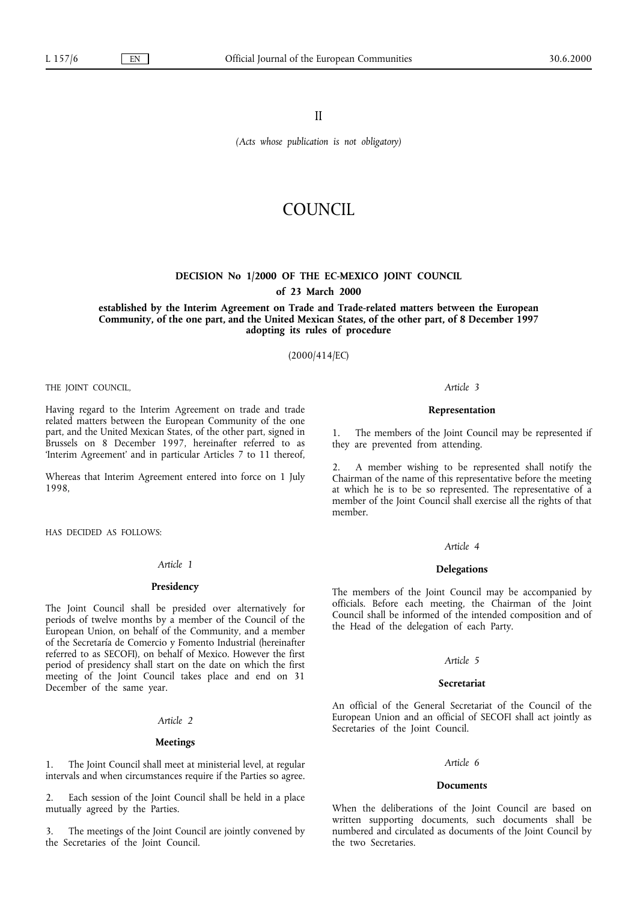II

*(Acts whose publication is not obligatory)*

# COUNCIL

## **DECISION No 1/2000 OF THE EC-MEXICO JOINT COUNCIL**

## **of 23 March 2000**

**established by the Interim Agreement on Trade and Trade-related matters between the European Community, of the one part, and the United Mexican States, of the other part, of 8 December 1997 adopting its rules of procedure**

(2000/414/EC)

THE JOINT COUNCIL,

Having regard to the Interim Agreement on trade and trade related matters between the European Community of the one part, and the United Mexican States, of the other part, signed in Brussels on 8 December 1997, hereinafter referred to as 'Interim Agreement' and in particular Articles 7 to 11 thereof,

Whereas that Interim Agreement entered into force on 1 July 1998,

HAS DECIDED AS FOLLOWS:

### *Article 1*

## **Presidency**

The Joint Council shall be presided over alternatively for periods of twelve months by a member of the Council of the European Union, on behalf of the Community, and a member of the Secretaría de Comercio y Fomento Industrial (hereinafter referred to as SECOFI), on behalf of Mexico. However the first period of presidency shall start on the date on which the first meeting of the Joint Council takes place and end on 31 December of the same year.

## *Article 2*

## **Meetings**

1. The Joint Council shall meet at ministerial level, at regular intervals and when circumstances require if the Parties so agree.

2. Each session of the Joint Council shall be held in a place mutually agreed by the Parties.

3. The meetings of the Joint Council are jointly convened by the Secretaries of the Joint Council.

#### *Article 3*

### **Representation**

1. The members of the Joint Council may be represented if they are prevented from attending.

2. A member wishing to be represented shall notify the Chairman of the name of this representative before the meeting at which he is to be so represented. The representative of a member of the Joint Council shall exercise all the rights of that member.

### *Article 4*

### **Delegations**

The members of the Joint Council may be accompanied by officials. Before each meeting, the Chairman of the Joint Council shall be informed of the intended composition and of the Head of the delegation of each Party.

### *Article 5*

### **Secretariat**

An official of the General Secretariat of the Council of the European Union and an official of SECOFI shall act jointly as Secretaries of the Joint Council.

### *Article 6*

#### **Documents**

When the deliberations of the Joint Council are based on written supporting documents, such documents shall be numbered and circulated as documents of the Joint Council by the two Secretaries.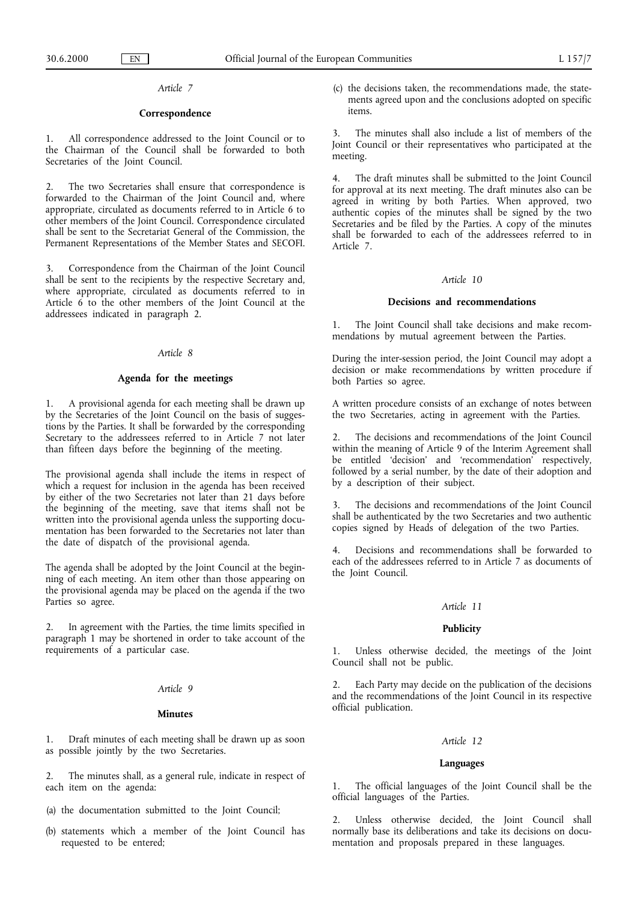## *Article 7*

## **Correspondence**

1. All correspondence addressed to the Joint Council or to the Chairman of the Council shall be forwarded to both Secretaries of the Joint Council.

2. The two Secretaries shall ensure that correspondence is forwarded to the Chairman of the Joint Council and, where appropriate, circulated as documents referred to in Article 6 to other members of the Joint Council. Correspondence circulated shall be sent to the Secretariat General of the Commission, the Permanent Representations of the Member States and SECOFI.

Correspondence from the Chairman of the Joint Council shall be sent to the recipients by the respective Secretary and, where appropriate, circulated as documents referred to in Article  $6$  to the other members of the Joint Council at the addressees indicated in paragraph 2.

## *Article 8*

### **Agenda for the meetings**

1. A provisional agenda for each meeting shall be drawn up by the Secretaries of the Joint Council on the basis of suggestions by the Parties. It shall be forwarded by the corresponding Secretary to the addressees referred to in Article 7 not later than fifteen days before the beginning of the meeting.

The provisional agenda shall include the items in respect of which a request for inclusion in the agenda has been received by either of the two Secretaries not later than 21 days before the beginning of the meeting, save that items shall not be written into the provisional agenda unless the supporting documentation has been forwarded to the Secretaries not later than the date of dispatch of the provisional agenda.

The agenda shall be adopted by the Joint Council at the beginning of each meeting. An item other than those appearing on the provisional agenda may be placed on the agenda if the two Parties so agree.

In agreement with the Parties, the time limits specified in paragraph 1 may be shortened in order to take account of the requirements of a particular case.

## *Article 9*

### **Minutes**

1. Draft minutes of each meeting shall be drawn up as soon as possible jointly by the two Secretaries.

2. The minutes shall, as a general rule, indicate in respect of each item on the agenda:

- (a) the documentation submitted to the Joint Council;
- (b) statements which a member of the Joint Council has requested to be entered;

(c) the decisions taken, the recommendations made, the statements agreed upon and the conclusions adopted on specific items.

3. The minutes shall also include a list of members of the Joint Council or their representatives who participated at the meeting.

4. The draft minutes shall be submitted to the Joint Council for approval at its next meeting. The draft minutes also can be agreed in writing by both Parties. When approved, two authentic copies of the minutes shall be signed by the two Secretaries and be filed by the Parties. A copy of the minutes shall be forwarded to each of the addressees referred to in Article 7.

## *Article 10*

## **Decisions and recommendations**

1. The Joint Council shall take decisions and make recommendations by mutual agreement between the Parties.

During the inter-session period, the Joint Council may adopt a decision or make recommendations by written procedure if both Parties so agree.

A written procedure consists of an exchange of notes between the two Secretaries, acting in agreement with the Parties.

2. The decisions and recommendations of the Joint Council within the meaning of Article 9 of the Interim Agreement shall be entitled 'decision' and 'recommendation' respectively, followed by a serial number, by the date of their adoption and by a description of their subject.

3. The decisions and recommendations of the Joint Council shall be authenticated by the two Secretaries and two authentic copies signed by Heads of delegation of the two Parties.

4. Decisions and recommendations shall be forwarded to each of the addressees referred to in Article 7 as documents of the Joint Council.

## *Article 11*

## **Publicity**

1. Unless otherwise decided, the meetings of the Joint Council shall not be public.

2. Each Party may decide on the publication of the decisions and the recommendations of the Joint Council in its respective official publication.

### *Article 12*

## **Languages**

1. The official languages of the Joint Council shall be the official languages of the Parties.

2. Unless otherwise decided, the Joint Council shall normally base its deliberations and take its decisions on documentation and proposals prepared in these languages.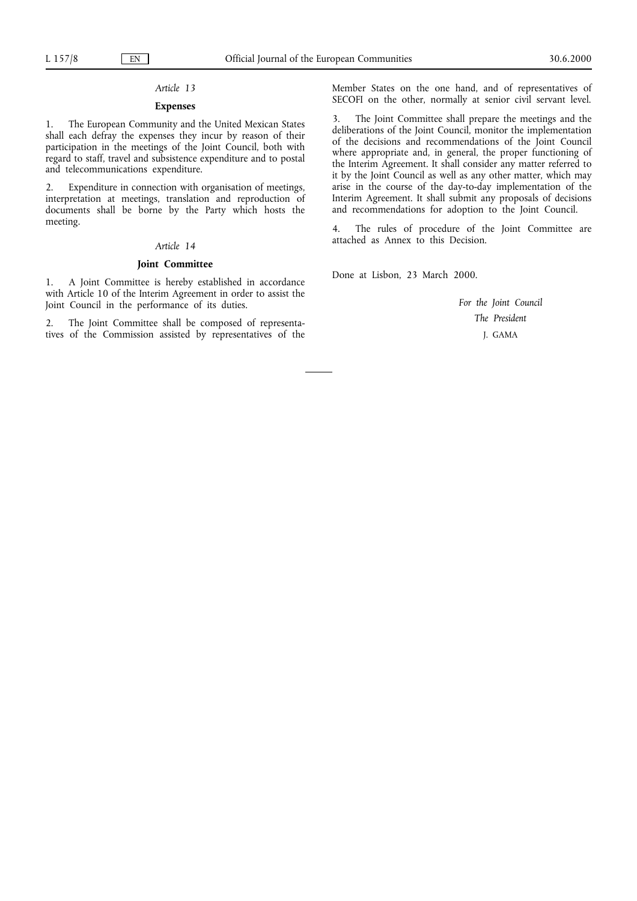## *Article 13*

## **Expenses**

1. The European Community and the United Mexican States shall each defray the expenses they incur by reason of their participation in the meetings of the Joint Council, both with regard to staff, travel and subsistence expenditure and to postal and telecommunications expenditure.

2. Expenditure in connection with organisation of meetings, interpretation at meetings, translation and reproduction of documents shall be borne by the Party which hosts the meeting.

## *Article 14*

## **Joint Committee**

1. A Joint Committee is hereby established in accordance with Article 10 of the Interim Agreement in order to assist the Joint Council in the performance of its duties.

2. The Joint Committee shall be composed of representatives of the Commission assisted by representatives of the Member States on the one hand, and of representatives of SECOFI on the other, normally at senior civil servant level.

The Joint Committee shall prepare the meetings and the deliberations of the Joint Council, monitor the implementation of the decisions and recommendations of the Joint Council where appropriate and, in general, the proper functioning of the Interim Agreement. It shall consider any matter referred to it by the Joint Council as well as any other matter, which may arise in the course of the day-to-day implementation of the Interim Agreement. It shall submit any proposals of decisions and recommendations for adoption to the Joint Council.

4. The rules of procedure of the Joint Committee are attached as Annex to this Decision.

Done at Lisbon, 23 March 2000.

*For the Joint Council The President* J. GAMA